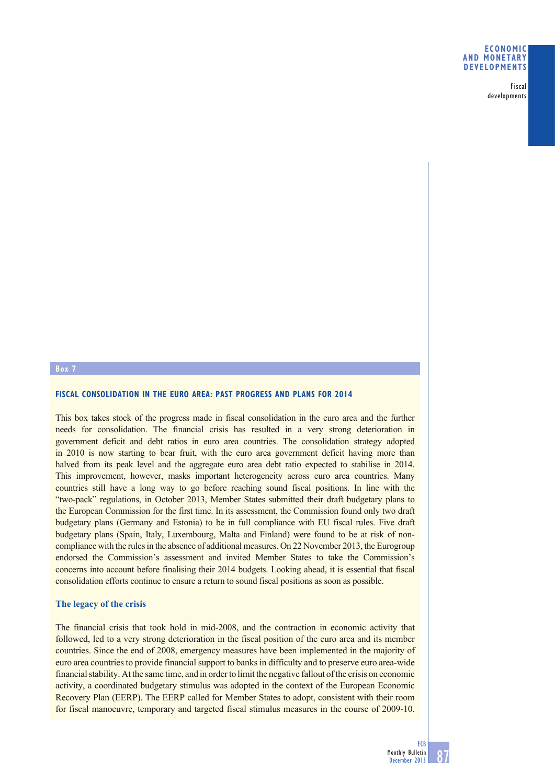#### **ECONOMIC AND MONETARY DEVELOPMENTS**

Fiscal developments

# **Box 7**

## **FISCAL CONSOLIDATION IN THE EURO AREA: PAST PROGRESS AND PLANS FOR 2014**

This box takes stock of the progress made in fiscal consolidation in the euro area and the further needs for consolidation. The financial crisis has resulted in a very strong deterioration in government deficit and debt ratios in euro area countries. The consolidation strategy adopted in 2010 is now starting to bear fruit, with the euro area government deficit having more than halved from its peak level and the aggregate euro area debt ratio expected to stabilise in 2014. This improvement, however, masks important heterogeneity across euro area countries. Many countries still have a long way to go before reaching sound fiscal positions. In line with the "two-pack" regulations, in October 2013, Member States submitted their draft budgetary plans to the European Commission for the first time. In its assessment, the Commission found only two draft budgetary plans (Germany and Estonia) to be in full compliance with EU fiscal rules. Five draft budgetary plans (Spain, Italy, Luxembourg, Malta and Finland) were found to be at risk of noncompliance with the rules in the absence of additional measures. On 22 November 2013, the Eurogroup endorsed the Commission's assessment and invited Member States to take the Commission's concerns into account before finalising their 2014 budgets. Looking ahead, it is essential that fiscal consolidation efforts continue to ensure a return to sound fiscal positions as soon as possible.

## **The legacy of the crisis**

The financial crisis that took hold in mid-2008, and the contraction in economic activity that followed, led to a very strong deterioration in the fiscal position of the euro area and its member countries. Since the end of 2008, emergency measures have been implemented in the majority of euro area countries to provide financial support to banks in difficulty and to preserve euro area-wide financial stability. At the same time, and in order to limit the negative fallout of the crisis on economic activity, a coordinated budgetary stimulus was adopted in the context of the European Economic Recovery Plan (EERP). The EERP called for Member States to adopt, consistent with their room for fiscal manoeuvre, temporary and targeted fiscal stimulus measures in the course of 2009-10.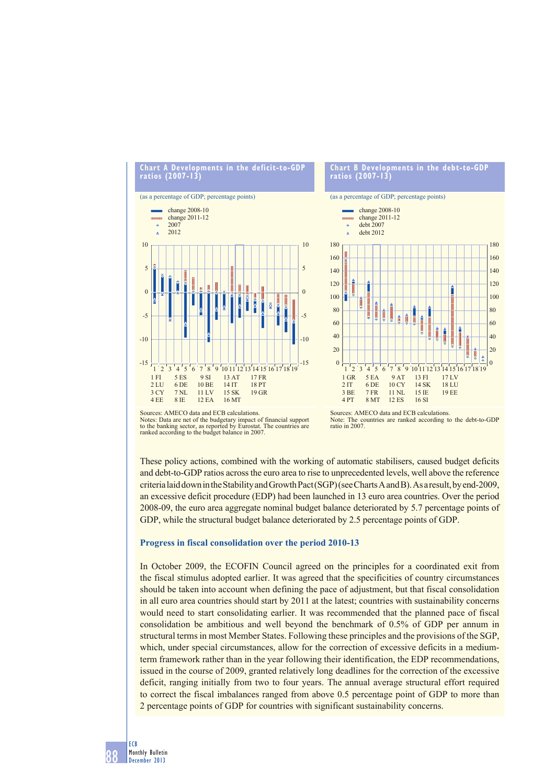

#### **Chart B Developments in the debt-to-GDP ratios (2007-13)**



Sources: AMECO data and ECB calculations. Notes: Data are net of the budgetary impact of financial support to the banking sector, as reported by Eurostat. The countries are ranked according to the budget balance in 2007.

Sources: AMECO data and ECB calculations. Note: The countries are ranked according to the debt-to-GDP ratio in 2007.

These policy actions, combined with the working of automatic stabilisers, caused budget deficits and debt-to-GDP ratios across the euro area to rise to unprecedented levels, well above the reference criteria laid down in the Stability and Growth Pact (SGP) (see Charts A and B). As a result, by end-2009, an excessive deficit procedure (EDP) had been launched in 13 euro area countries. Over the period 2008-09, the euro area aggregate nominal budget balance deteriorated by 5.7 percentage points of GDP, while the structural budget balance deteriorated by 2.5 percentage points of GDP.

#### **Progress in fiscal consolidation over the period 2010-13**

In October 2009, the ECOFIN Council agreed on the principles for a coordinated exit from the fiscal stimulus adopted earlier. It was agreed that the specificities of country circumstances should be taken into account when defining the pace of adjustment, but that fiscal consolidation in all euro area countries should start by 2011 at the latest; countries with sustainability concerns would need to start consolidating earlier. It was recommended that the planned pace of fiscal consolidation be ambitious and well beyond the benchmark of 0.5% of GDP per annum in structural terms in most Member States. Following these principles and the provisions of the SGP, which, under special circumstances, allow for the correction of excessive deficits in a mediumterm framework rather than in the year following their identification, the EDP recommendations, issued in the course of 2009, granted relatively long deadlines for the correction of the excessive deficit, ranging initially from two to four years. The annual average structural effort required to correct the fiscal imbalances ranged from above 0.5 percentage point of GDP to more than 2 percentage points of GDP for countries with significant sustainability concerns.

88 ECB Monthly Bulletin December 2013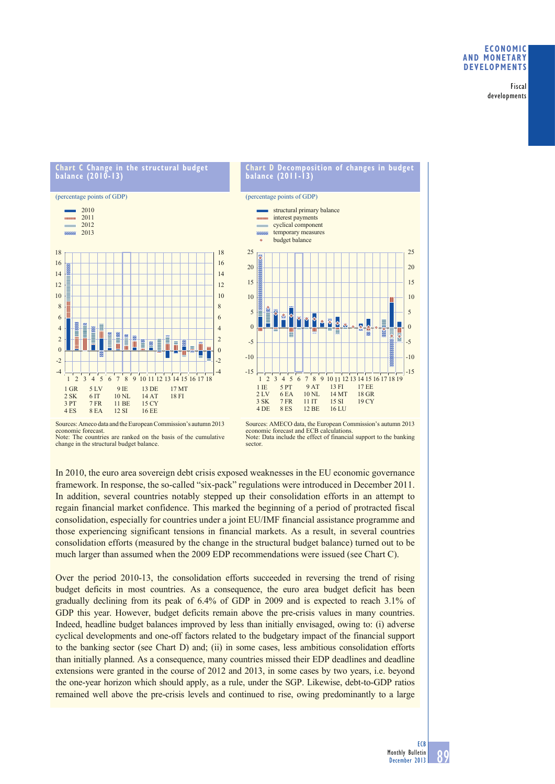## **ECONOMIC AND MONETARY DEVELOPMENTS**

Fiscal developments

## **Chart Constructural budget** Chart C Change in<br>balance (2010-13)





Sources: Ameco data and the European Commission's autumn 2013 economic forecast. Note: The countries are ranked on the basis of the cumulative change in the structural budget balance.



In 2010, the euro area sovereign debt crisis exposed weaknesses in the EU economic governance framework. In response, the so-called "six-pack" regulations were introduced in December 2011. In addition, several countries notably stepped up their consolidation efforts in an attempt to regain financial market confidence. This marked the beginning of a period of protracted fiscal consolidation, especially for countries under a joint EU/IMF financial assistance programme and those experiencing significant tensions in financial markets. As a result, in several countries consolidation efforts (measured by the change in the structural budget balance) turned out to be much larger than assumed when the 2009 EDP recommendations were issued (see Chart C).

Over the period 2010-13, the consolidation efforts succeeded in reversing the trend of rising budget deficits in most countries. As a consequence, the euro area budget deficit has been gradually declining from its peak of 6.4% of GDP in 2009 and is expected to reach 3.1% of GDP this year. However, budget deficits remain above the pre-crisis values in many countries. Indeed, headline budget balances improved by less than initially envisaged, owing to: (i) adverse cyclical developments and one-off factors related to the budgetary impact of the financial support to the banking sector (see Chart D) and; (ii) in some cases, less ambitious consolidation efforts than initially planned. As a consequence, many countries missed their EDP deadlines and deadline extensions were granted in the course of 2012 and 2013, in some cases by two years, i.e. beyond the one-year horizon which should apply, as a rule, under the SGP. Likewise, debt-to-GDP ratios remained well above the pre-crisis levels and continued to rise, owing predominantly to a large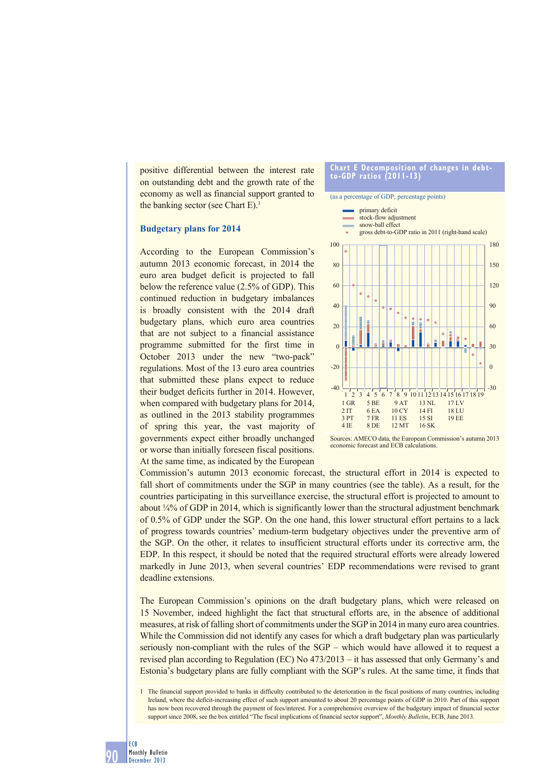positive differential between the interest rate on outstanding debt and the growth rate of the economy as well as financial support granted to the banking sector (see Chart  $E$ ).<sup>1</sup>

## **Budgetary plans for 2014**

According to the European Commission's autumn 2013 economic forecast, in 2014 the euro area budget deficit is projected to fall below the reference value (2.5% of GDP). This continued reduction in budgetary imbalances is broadly consistent with the 2014 draft budgetary plans, which euro area countries that are not subject to a financial assistance programme submitted for the first time in October 2013 under the new "two-pack" regulations. Most of the 13 euro area countries that submitted these plans expect to reduce their budget deficits further in 2014. However, when compared with budgetary plans for 2014, as outlined in the 2013 stability programmes of spring this year, the vast majority of governments expect either broadly unchanged or worse than initially foreseen fiscal positions. At the same time, as indicated by the European

#### **Chart E Decomposition of changes in debtto-GDP ratios (2011-13)**

#### (as a percentage of GDP; percentage points)



Sources: AMECO data, the European Commission's autumn 2013 economic forecast and ECB calculations.

Commission's autumn 2013 economic forecast, the structural effort in 2014 is expected to fall short of commitments under the SGP in many countries (see the table). As a result, for the countries participating in this surveillance exercise, the structural effort is projected to amount to about  $\frac{1}{4}$ % of GDP in 2014, which is significantly lower than the structural adjustment benchmark of 0.5% of GDP under the SGP. On the one hand, this lower structural effort pertains to a lack of progress towards countries' medium-term budgetary objectives under the preventive arm of the SGP. On the other, it relates to insufficient structural efforts under its corrective arm, the EDP. In this respect, it should be noted that the required structural efforts were already lowered markedly in June 2013, when several countries' EDP recommendations were revised to grant deadline extensions.

The European Commission's opinions on the draft budgetary plans, which were released on 15 November, indeed highlight the fact that structural efforts are, in the absence of additional measures, at risk of falling short of commitments under the SGP in 2014 in many euro area countries. While the Commission did not identify any cases for which a draft budgetary plan was particularly seriously non-compliant with the rules of the SGP – which would have allowed it to request a revised plan according to Regulation (EC) No 473/2013 – it has assessed that only Germany's and Estonia's budgetary plans are fully compliant with the SGP's rules. At the same time, it finds that

<sup>1</sup> The financial support provided to banks in difficulty contributed to the deterioration in the fiscal positions of many countries, including Ireland, where the deficit-increasing effect of such support amounted to about 20 percentage points of GDP in 2010. Part of this support has now been recovered through the payment of fees/interest. For a comprehensive overview of the budgetary impact of financial sector support since 2008, see the box entitled "The fiscal implications of financial sector support", *Monthly Bulletin*, ECB, June 2013.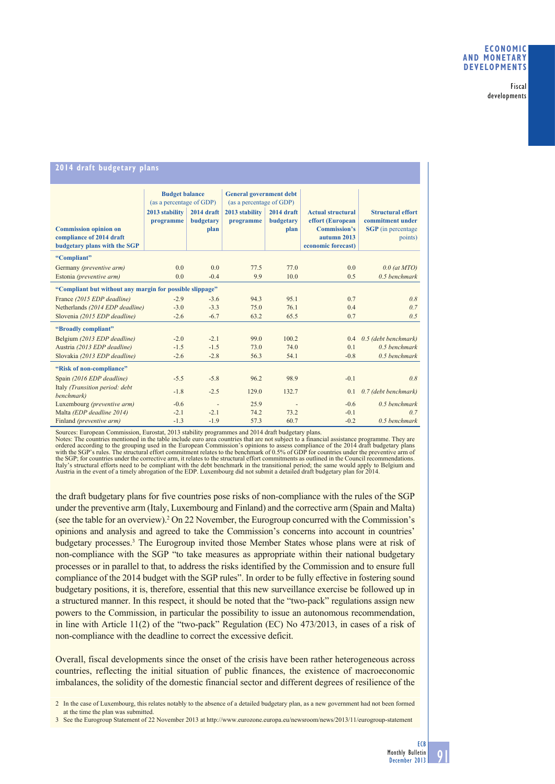#### Fiscal developments

#### **2014 draft budgetary plans Budget balance**  (as a percentage of GDP) **General government debt**  (as a percentage of GDP) **Commission opinion on compliance of 2014 draft budgetary plans with the SGP 2013 stability programme 2014 draft budgetary plan 2013 stability programme 2014 draft budgetary plan Actual structural effort (European Commission's autumn 2013 economic forecast) Structural effort commitment under SGP** (in percentage points) **"Compliant"** Germany *(preventive arm)* 0.0 0.0 77.5 77.0 0.0 0.0 *0.0 (at MTO)* Estonia *(preventive arm)* 0.0 -0.4 9.9 10.0 0.5 *0.5 benchmark* **"Compliant but without any margin for possible slippage"** France *(2015 EDP deadline)* -2.9 -3.6 94.3 95.1 0.7 *0.8* Netherlands *(2014 EDP deadline)* -3.0 -3.3 75.0 76.1 0.4 *0.7* Slovenia *(2015 EDP deadline)* -2.6 -6.7 63.2 65.5 0.7 *0.5* **"Broadly compliant"**  Belgium *(2013 EDP deadline)* -2.0 -2.1 99.0 100.2 0.4 *0.5 (debt benchmark)* Austria *(2013 EDP deadline)* -1.5 -1.5 73.0 74.0 0.1 *0.5 benchmark* Slovakia *(2013 EDP deadline)* -2.6 -2.8 56.3 54.1 -0.8 *0.5 benchmark* **"Risk of non-compliance"** Spain *(2016 EDP deadline)* -5.5 -5.8 96.2 98.9 -0.1 *0.8* Italy *(Transition period: debt benchmark)* -1.8 -2.5 129.0 132.7 0.1 *0.7 (debt benchmark)* Luxembourg *(preventive arm)* -0.6 - 25.9 - -0.6 *0.5 benchmark* Malta *(EDP deadline 2014)* -2.1 -2.1 74.2 73.2 -0.1 0.7<br>
Finland *(preventive arm)* -1.3 -1.9 57.3 60.7 -0.2 0.5 benchmark Finland *(preventive arm)*

Sources: European Commission, Eurostat, 2013 stability programmes and 2014 draft budgetary plans.<br>Notes: The countries mentioned in the table include euro area countries that are not subject to a financial assistance progr ordered according to the grouping used in the European Commission's opinions to assess compliance of the 2014 draft budgetary plans which the SGP's rules. The structural effort commitment relates to the benchmark of 0.5% of GDP for countries under the preventive arm of the SGP; for countries under the corrective arm, it relates to the structural effort commitments as outlined in the Council recommendations.<br>Italy's structural efforts need to be compliant with the debt benchmark in the tr Austria in the event of a timely abrogation of the EDP. Luxembourg did not submit a detailed draft budgetary plan for 2014.<br>Austria in the event of a timely abrogation of the EDP. Luxembourg did not submit a detailed draft

the draft budgetary plans for five countries pose risks of non-compliance with the rules of the SGP under the preventive arm (Italy, Luxembourg and Finland) and the corrective arm (Spain and Malta) (see the table for an overview).<sup>2</sup> On 22 November, the Eurogroup concurred with the Commission's opinions and analysis and agreed to take the Commission's concerns into account in countries' budgetary processes.<sup>3</sup> The Eurogroup invited those Member States whose plans were at risk of non-compliance with the SGP "to take measures as appropriate within their national budgetary processes or in parallel to that, to address the risks identified by the Commission and to ensure full compliance of the 2014 budget with the SGP rules". In order to be fully effective in fostering sound budgetary positions, it is, therefore, essential that this new surveillance exercise be followed up in a structured manner. In this respect, it should be noted that the "two-pack" regulations assign new powers to the Commission, in particular the possibility to issue an autonomous recommendation, in line with Article 11(2) of the "two-pack" Regulation (EC) No 473/2013, in cases of a risk of non-compliance with the deadline to correct the excessive deficit.

Overall, fiscal developments since the onset of the crisis have been rather heterogeneous across countries, reflecting the initial situation of public finances, the existence of macroeconomic imbalances, the solidity of the domestic financial sector and different degrees of resilience of the

2 In the case of Luxembourg, this relates notably to the absence of a detailed budgetary plan, as a new government had not been formed at the time the plan was submitted.

3 See the Eurogroup Statement of 22 November 2013 at http://www.eurozone.europa.eu/newsroom/news/2013/11/eurogroup-statement